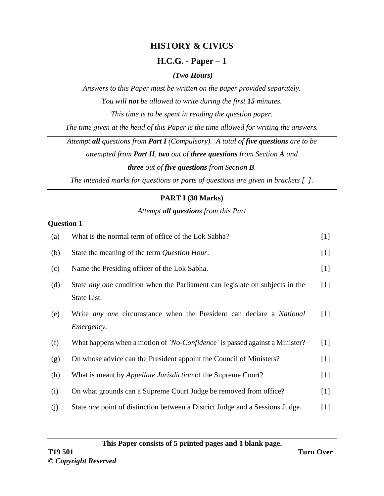# **HISTORY & CIVICS**

## **H.C.G. - Paper – 1**

## *(Two Hours)*

*Answers to this Paper must be written on the paper provided separately.*

*You will not be allowed to write during the first 15 minutes.*

*This time is to be spent in reading the question paper.*

*The time given at the head of this Paper is the time allowed for writing the answers.*

*Attempt all questions from Part I (Compulsory). A total of five questions are to be*

*attempted from Part II, two out of three questions from Section A and three out of five questions from Section B.*

*The intended marks for questions or parts of questions are given in brackets [ ].*

## **PART I (30 Marks)**

## *Attempt all questions from this Part*

## **Question 1**

| (a) | What is the normal term of office of the Lok Sabha?                                  | $[1]$ |
|-----|--------------------------------------------------------------------------------------|-------|
| (b) | State the meaning of the term Question Hour.                                         | $[1]$ |
| (c) | Name the Presiding officer of the Lok Sabha.                                         | $[1]$ |
| (d) | State <i>any one</i> condition when the Parliament can legislate on subjects in the  | $[1]$ |
|     | State List.                                                                          |       |
| (e) | Write <i>any one</i> circumstance when the President can declare a <i>National</i>   | [1]   |
|     | <i>Emergency.</i>                                                                    |       |
| (f) | What happens when a motion of 'No-Confidence' is passed against a Minister?          | $[1]$ |
| (g) | On whose advice can the President appoint the Council of Ministers?                  | $[1]$ |
| (h) | What is meant by <i>Appellate Jurisdiction</i> of the Supreme Court?                 | $[1]$ |
| (i) | On what grounds can a Supreme Court Judge be removed from office?                    | $[1]$ |
| (j) | State <i>one</i> point of distinction between a District Judge and a Sessions Judge. | $[1]$ |

**This Paper consists of 5 printed pages and 1 blank page.**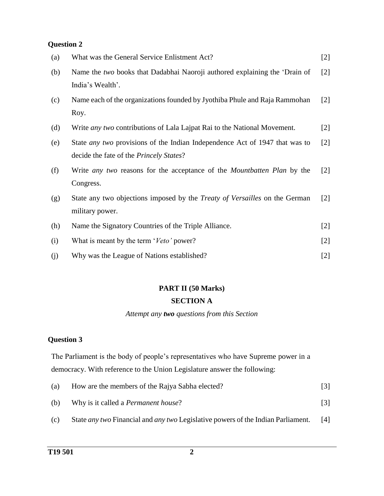| (a) | What was the General Service Enlistment Act?                                                                                          | $[2]$             |
|-----|---------------------------------------------------------------------------------------------------------------------------------------|-------------------|
| (b) | Name the two books that Dadabhai Naoroji authored explaining the 'Drain of<br>India's Wealth'.                                        | $[2]$             |
| (c) | Name each of the organizations founded by Jyothiba Phule and Raja Rammohan<br>Roy.                                                    | $[2]$             |
| (d) | Write <i>any two</i> contributions of Lala Lajpat Rai to the National Movement.                                                       | $[2]$             |
| (e) | State <i>any two</i> provisions of the Indian Independence Act of 1947 that was to<br>decide the fate of the <i>Princely States</i> ? | $[2]$             |
| (f) | Write <i>any two</i> reasons for the acceptance of the <i>Mountbatten Plan</i> by the<br>Congress.                                    | $\lceil 2 \rceil$ |
| (g) | State any two objections imposed by the <i>Treaty of Versailles</i> on the German<br>military power.                                  | $\lceil 2 \rceil$ |
| (h) | Name the Signatory Countries of the Triple Alliance.                                                                                  | $[2]$             |
| (i) | What is meant by the term 'Veto' power?                                                                                               | $[2]$             |
| (j) | Why was the League of Nations established?                                                                                            | $[2]$             |

# **PART II (50 Marks)**

#### **SECTION A**

#### *Attempt any two questions from this Section*

#### **Question 3**

The Parliament is the body of people's representatives who have Supreme power in a democracy. With reference to the Union Legislature answer the following:

| (a) | How are the members of the Rajya Sabha elected? |  |
|-----|-------------------------------------------------|--|
| (b) | Why is it called a <i>Permanent house</i> ?     |  |

(c) State *any two* Financial and *any two* Legislative powers of the Indian Parliament. [4]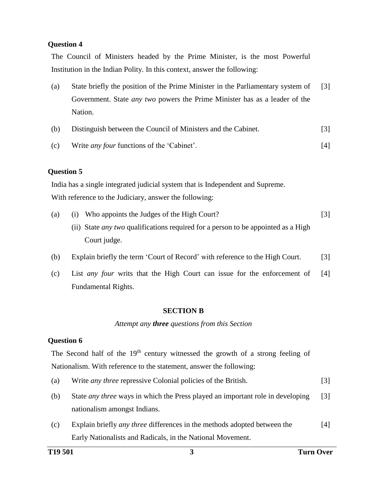The Council of Ministers headed by the Prime Minister, is the most Powerful Institution in the Indian Polity. In this context, answer the following:

- (a) State briefly the position of the Prime Minister in the Parliamentary system of Government. State *any two* powers the Prime Minister has as a leader of the Nation. [3]
- (b) Distinguish between the Council of Ministers and the Cabinet. [3] (c) Write *any four* functions of the 'Cabinet'. [4]

#### **Question 5**

India has a single integrated judicial system that is Independent and Supreme. With reference to the Judiciary, answer the following:

- (a) (i) Who appoints the Judges of the High Court? [3]
	- (ii) State *any two* qualifications required for a person to be appointed as a High Court judge.
- (b) Explain briefly the term 'Court of Record' with reference to the High Court. [3]
- (c) List *any four* writs that the High Court can issue for the enforcement of Fundamental Rights. [4]

#### **SECTION B**

*Attempt any three questions from this Section*

#### **Question 6**

The Second half of the  $19<sup>th</sup>$  century witnessed the growth of a strong feeling of Nationalism. With reference to the statement, answer the following:

- (a) Write *any three* repressive Colonial policies of the British. [3]
- (b) State *any three* ways in which the Press played an important role in developing nationalism amongst Indians. [3]
- (c) Explain briefly *any three* differences in the methods adopted between the Early Nationalists and Radicals, in the National Movement. [4]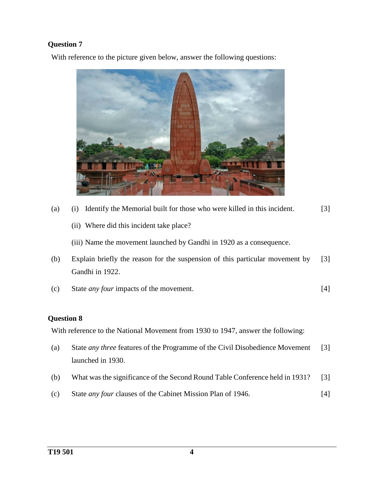With reference to the picture given below, answer the following questions:



- (a) (i) Identify the Memorial built for those who were killed in this incident. [3]
	- (ii) Where did this incident take place?

(iii) Name the movement launched by Gandhi in 1920 as a consequence.

- (b) Explain briefly the reason for the suspension of this particular movement by Gandhi in 1922. [3]
- (c) State *any four* impacts of the movement. [4]

#### **Question 8**

With reference to the National Movement from 1930 to 1947, answer the following:

- (a) State *any three* features of the Programme of the Civil Disobedience Movement launched in 1930. [3]
- (b) What was the significance of the Second Round Table Conference held in 1931? [3]
- (c) State *any four* clauses of the Cabinet Mission Plan of 1946. [4]